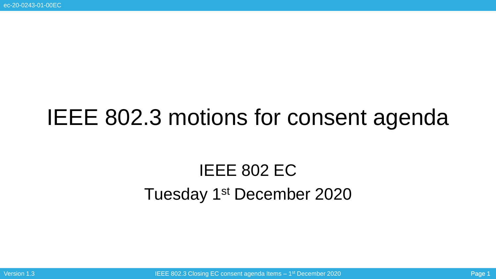# IEEE 802.3 motions for consent agenda

## IEEE 802 EC Tuesday 1<sup>st</sup> December 2020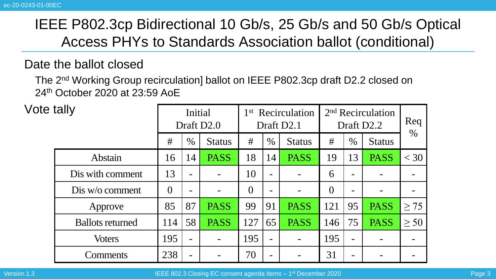#### Date the ballot closed

The 2nd Working Group recirculation] ballot on IEEE P802.3cp draft D2.2 closed on 24th October 2020 at 23:59 AoE

| Vote tally |                         | Initial<br>Draft D <sub>2.0</sub> |      |               | 1 <sup>st</sup> Recirculation<br>Draft D2.1 |                 |               | 2 <sup>nd</sup> Recirculation<br>Draft D2.2 | Req            |               |           |
|------------|-------------------------|-----------------------------------|------|---------------|---------------------------------------------|-----------------|---------------|---------------------------------------------|----------------|---------------|-----------|
|            |                         | #                                 | $\%$ | <b>Status</b> | #                                           | $\%$            | <b>Status</b> | #                                           | $\%$           | <b>Status</b> | $\%$      |
|            | Abstain                 | 16                                | 14   | <b>PASS</b>   | 18                                          | 14              | PASS          | 19                                          | 13             | <b>PASS</b>   | $<$ 30    |
|            | Dis with comment        | 13                                |      |               | 10                                          |                 |               | 6                                           |                |               |           |
|            | $Dis w/o$ comment       | $\Omega$                          |      |               | $\overline{0}$                              |                 |               | $\Omega$                                    |                |               |           |
|            | Approve                 | 85                                | 87   | <b>PASS</b>   | 99                                          | 91              | <b>PASS</b>   | 121                                         | 95             | <b>PASS</b>   | $\geq$ 75 |
|            | <b>Ballots returned</b> | 114                               | 58   | <b>PASS</b>   | 127                                         | 65              | <b>PASS</b>   | 146                                         | 75             | <b>PASS</b>   | $\geq 50$ |
|            | <b>Voters</b>           | 195                               |      |               | 195                                         | $\qquad \qquad$ |               | 195                                         |                |               |           |
|            | Comments                | 238                               |      |               | 70                                          | $\equiv$        |               | 31                                          | $\blacksquare$ |               |           |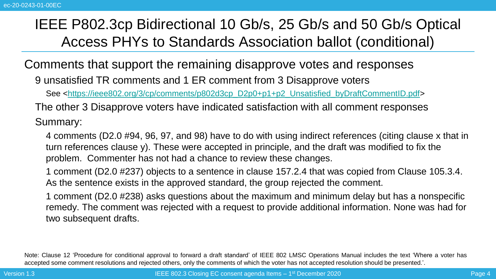Comments that support the remaining disapprove votes and responses

9 unsatisfied TR comments and 1 ER comment from 3 Disapprove voters

See [<https://ieee802.org/3/cp/comments/p802d3cp\\_D2p0+p1+p2\\_Unsatisfied\\_byDraftCommentID.pdf>](https://ieee802.org/3/cp/comments/p802d3cp_D2p0+p1+p2_Unsatisfied_byDraftCommentID.pdf)

The other 3 Disapprove voters have indicated satisfaction with all comment responses

Summary:

4 comments (D2.0 #94, 96, 97, and 98) have to do with using indirect references (citing clause x that in turn references clause y). These were accepted in principle, and the draft was modified to fix the problem. Commenter has not had a chance to review these changes.

1 comment (D2.0 #237) objects to a sentence in clause 157.2.4 that was copied from Clause 105.3.4. As the sentence exists in the approved standard, the group rejected the comment.

1 comment (D2.0 #238) asks questions about the maximum and minimum delay but has a nonspecific remedy. The comment was rejected with a request to provide additional information. None was had for two subsequent drafts.

Note: Clause 12 'Procedure for conditional approval to forward a draft standard' of IEEE 802 LMSC Operations Manual includes the text 'Where a voter has accepted some comment resolutions and rejected others, only the comments of which the voter has not accepted resolution should be presented.'.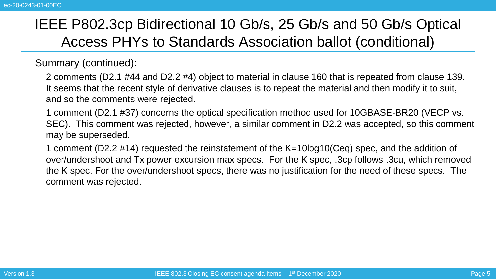Summary (continued):

2 comments (D2.1 #44 and D2.2 #4) object to material in clause 160 that is repeated from clause 139. It seems that the recent style of derivative clauses is to repeat the material and then modify it to suit, and so the comments were rejected.

1 comment (D2.1 #37) concerns the optical specification method used for 10GBASE-BR20 (VECP vs. SEC). This comment was rejected, however, a similar comment in D2.2 was accepted, so this comment may be superseded.

1 comment (D2.2 #14) requested the reinstatement of the K=10log10(Ceq) spec, and the addition of over/undershoot and Tx power excursion max specs. For the K spec, .3cp follows .3cu, which removed the K spec. For the over/undershoot specs, there was no justification for the need of these specs. The comment was rejected.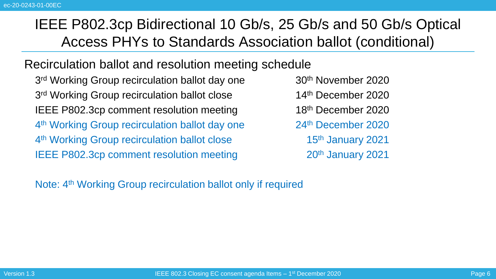#### Recirculation ballot and resolution meeting schedule

3<sup>rd</sup> Working Group recirculation ballot day one  $30<sup>th</sup>$  November 2020 3<sup>rd</sup> Working Group recirculation ballot close **14th** December 2020 IEEE P802.3cp comment resolution meeting 4<sup>th</sup> Working Group recirculation ballot day one  $24<sup>th</sup>$  December 2020 4<sup>th</sup> Working Group recirculation ballot close **15th** January 2021 IEEE P802.3cp comment resolution meeting 20<sup>th</sup> January 2021

18<sup>th</sup> December 2020

Note: 4<sup>th</sup> Working Group recirculation ballot only if required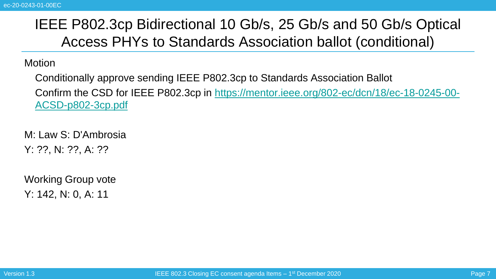#### **Motion**

Conditionally approve sending IEEE P802.3cp to Standards Association Ballot [Confirm the CSD for IEEE P802.3cp in https://mentor.ieee.org/802-ec/dcn/18/ec-18-0245-00-](https://mentor.ieee.org/802-ec/dcn/18/ec-18-0245-00-ACSD-p802-3cp.pdf) ACSD-p802-3cp.pdf

M: Law S: D'Ambrosia Y: ??, N: ??, A: ??

Working Group vote Y: 142, N: 0, A: 11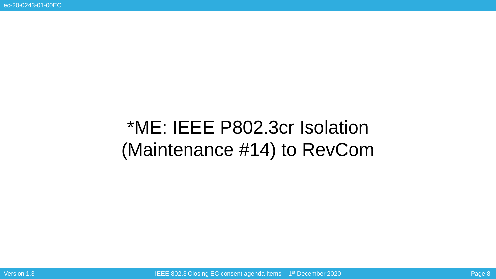# \*ME: IEEE P802.3cr Isolation (Maintenance #14) to RevCom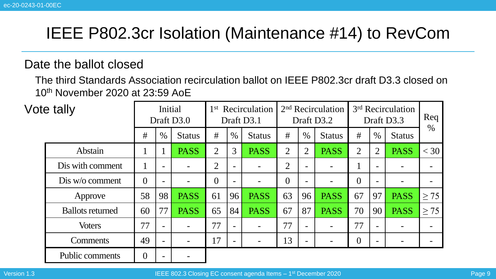### IEEE P802.3cr Isolation (Maintenance #14) to RevCom

#### Date the ballot closed

The third Standards Association recirculation ballot on IEEE P802.3cr draft D3.3 closed on 10th November 2020 at 23:59 AoE

| Vote tally |                         | Initial<br>Draft D3.0 |                          |               | 1 <sup>st</sup><br>Recirculation<br>Draft D3.1 |                          |               | 2 <sup>nd</sup> Recirculation<br>Draft D3.2 |                          |               | 3 <sup>rd</sup> Recirculation<br>Draft D3.3 |                |               | Req       |
|------------|-------------------------|-----------------------|--------------------------|---------------|------------------------------------------------|--------------------------|---------------|---------------------------------------------|--------------------------|---------------|---------------------------------------------|----------------|---------------|-----------|
|            |                         | #                     | $\%$                     | <b>Status</b> | #                                              | $\%$                     | <b>Status</b> | #                                           | $\%$                     | <b>Status</b> | #                                           | $\%$           | <b>Status</b> | $\%$      |
|            | Abstain                 |                       |                          | <b>PASS</b>   | $\overline{2}$                                 | 3                        | <b>PASS</b>   | 2                                           | $\overline{2}$           | <b>PASS</b>   | $\overline{2}$                              | $\overline{2}$ | <b>PASS</b>   | $<$ 30    |
|            | Dis with comment        | $\bf{l}$              | $\overline{\phantom{0}}$ |               | 2                                              | $\overline{\phantom{0}}$ |               | 2                                           | $\overline{\phantom{a}}$ |               |                                             |                | -             | -         |
|            | Dis w/o comment         | $\theta$              |                          |               | $\overline{0}$                                 |                          |               | $\theta$                                    | $\overline{\phantom{a}}$ |               | $\overline{0}$                              |                |               |           |
|            | Approve                 | 58                    | 98                       | <b>PASS</b>   | 61                                             | 96                       | <b>PASS</b>   | 63                                          | 96                       | <b>PASS</b>   | 67                                          | 97             | <b>PASS</b>   | $\geq$ 75 |
|            | <b>Ballots returned</b> | 60                    | 77                       | <b>PASS</b>   | 65                                             | 84                       | <b>PASS</b>   | 67                                          | 87                       | <b>PASS</b>   | 70                                          | 90             | <b>PASS</b>   | > 75      |
|            | <b>Voters</b>           | 77                    | $\overline{\phantom{0}}$ |               | 77                                             | $\overline{\phantom{a}}$ |               | 77                                          | $\overline{\phantom{a}}$ |               | 77                                          |                |               |           |
|            | <b>Comments</b>         | 49                    |                          |               | 17                                             | $\overline{\phantom{0}}$ |               | 13                                          | $\overline{\phantom{a}}$ |               | 0                                           |                |               | -         |
|            | <b>Public comments</b>  | $\Omega$              |                          |               |                                                |                          |               |                                             |                          |               |                                             |                |               |           |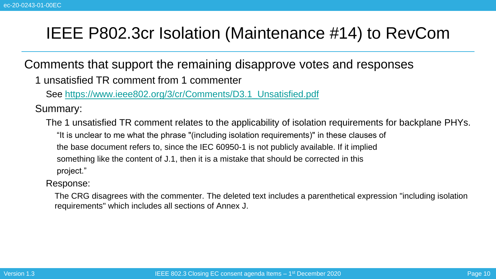### IEEE P802.3cr Isolation (Maintenance #14) to RevCom

Comments that support the remaining disapprove votes and responses

1 unsatisfied TR comment from 1 commenter

See [https://www.ieee802.org/3/cr/Comments/D3.1\\_Unsatisfied.pdf](https://www.ieee802.org/3/cr/Comments/D3.1_Unsatisfied.pdf)

Summary:

The 1 unsatisfied TR comment relates to the applicability of isolation requirements for backplane PHYs. "It is unclear to me what the phrase "(including isolation requirements)" in these clauses of the base document refers to, since the IEC 60950-1 is not publicly available. If it implied something like the content of J.1, then it is a mistake that should be corrected in this project."

Response:

The CRG disagrees with the commenter. The deleted text includes a parenthetical expression "including isolation requirements" which includes all sections of Annex J.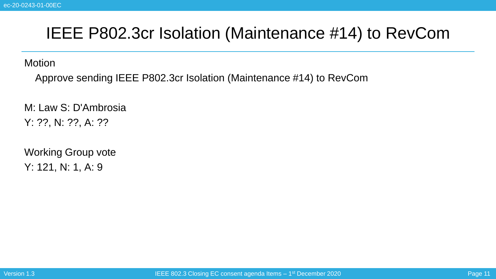### IEEE P802.3cr Isolation (Maintenance #14) to RevCom

**Motion** 

Approve sending IEEE P802.3cr Isolation (Maintenance #14) to RevCom

M: Law S: D'Ambrosia Y: ??, N: ??, A: ??

Working Group vote Y: 121, N: 1, A: 9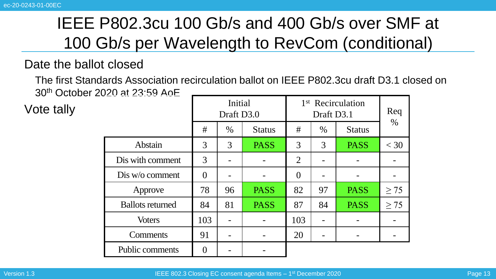#### Date the ballot closed

The first Standards Association recirculation ballot on IEEE P802.3cu draft D3.1 closed on 30th October 2020 at 23:59 AoE

Vote tally

|                         | Initial<br>Draft D3.0 |                       |             | 1 <sup>st</sup> Recirculation | Req<br>$\%$ |               |           |
|-------------------------|-----------------------|-----------------------|-------------|-------------------------------|-------------|---------------|-----------|
|                         | #                     | $\%$<br><b>Status</b> |             | #                             | $\%$        | <b>Status</b> |           |
| Abstain                 | 3<br>3<br><b>PASS</b> |                       | 3           | 3                             | <b>PASS</b> | $<$ 30        |           |
| Dis with comment        | 3                     |                       |             | $\overline{2}$                |             |               |           |
| Dis w/o comment         | $\theta$              |                       |             | $\theta$                      |             |               |           |
| Approve                 | 78                    | 96                    | <b>PASS</b> | 82                            | 97          | <b>PASS</b>   | $\geq$ 75 |
| <b>Ballots returned</b> | 84                    | 81                    | <b>PASS</b> | 87                            | 84          | <b>PASS</b>   | $\geq$ 75 |
| <b>Voters</b>           | 103                   |                       |             | 103                           |             |               |           |
| Comments                | 91                    |                       |             | 20                            |             |               |           |
| Public comments         | $\Omega$              |                       |             |                               |             |               |           |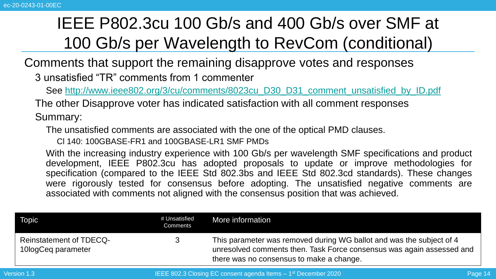Comments that support the remaining disapprove votes and responses

3 unsatisfied "TR" comments from 1 commenter

See [http://www.ieee802.org/3/cu/comments/8023cu\\_D30\\_D31\\_comment\\_unsatisfied\\_by\\_ID.pdf](http://www.ieee802.org/3/cu/comments/8023cu_D30_D31_comment_unsatisfied_by_ID.pdf)

The other Disapprove voter has indicated satisfaction with all comment responses Summary:

The unsatisfied comments are associated with the one of the optical PMD clauses.

Cl 140: 100GBASE-FR1 and 100GBASE-LR1 SMF PMDs

With the increasing industry experience with 100 Gb/s per wavelength SMF specifications and product development, IEEE P802.3cu has adopted proposals to update or improve methodologies for specification (compared to the IEEE Std 802.3bs and IEEE Std 802.3cd standards). These changes were rigorously tested for consensus before adopting. The unsatisfied negative comments are associated with comments not aligned with the consensus position that was achieved.

| <b>Topic</b>                                         | # Unsatisfied<br>Comments | More information                                                                                                                                                                          |
|------------------------------------------------------|---------------------------|-------------------------------------------------------------------------------------------------------------------------------------------------------------------------------------------|
| <b>Reinstatement of TDECQ-</b><br>10logCeq parameter |                           | This parameter was removed during WG ballot and was the subject of 4<br>unresolved comments then. Task Force consensus was again assessed and<br>there was no consensus to make a change. |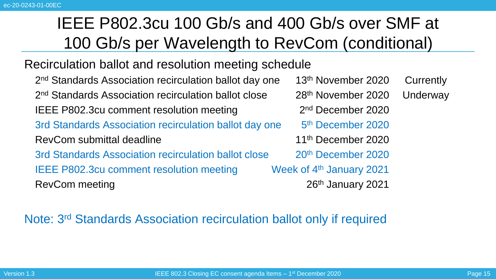#### Recirculation ballot and resolution meeting schedule

2 nd Standards Association recirculation ballot day one 13th November 2020 Currently 2<sup>nd</sup> Standards Association recirculation ballot close  $28<sup>th</sup>$  November 2020 Underway IEEE P802.3cu comment resolution meeting 3rd Standards Association recirculation ballot day one RevCom submittal deadline 11<sup>th</sup> December 2020 3rd Standards Association recirculation ballot close 20<sup>th</sup> December 2020 IEEE P802.3cu comment resolution meeting Week of 4<sup>th</sup> January 2021 RevCom meeting 2021

 $2<sup>nd</sup>$  December 2020 5<sup>th</sup> December 2020

#### Note: 3<sup>rd</sup> Standards Association recirculation ballot only if required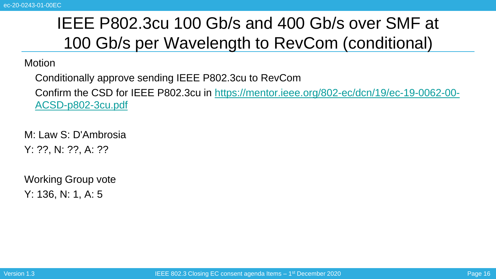#### **Motion**

Conditionally approve sending IEEE P802.3cu to RevCom

[Confirm the CSD for IEEE P802.3cu in https://mentor.ieee.org/802-ec/dcn/19/ec-19-0062-00-](https://mentor.ieee.org/802-ec/dcn/19/ec-19-0062-00-ACSD-p802-3cu.pdf) ACSD-p802-3cu.pdf

M: Law S: D'Ambrosia Y: ??, N: ??, A: ??

Working Group vote Y: 136, N: 1, A: 5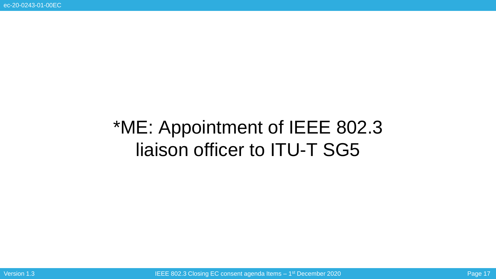# \*ME: Appointment of IEEE 802.3 liaison officer to ITU-T SG5